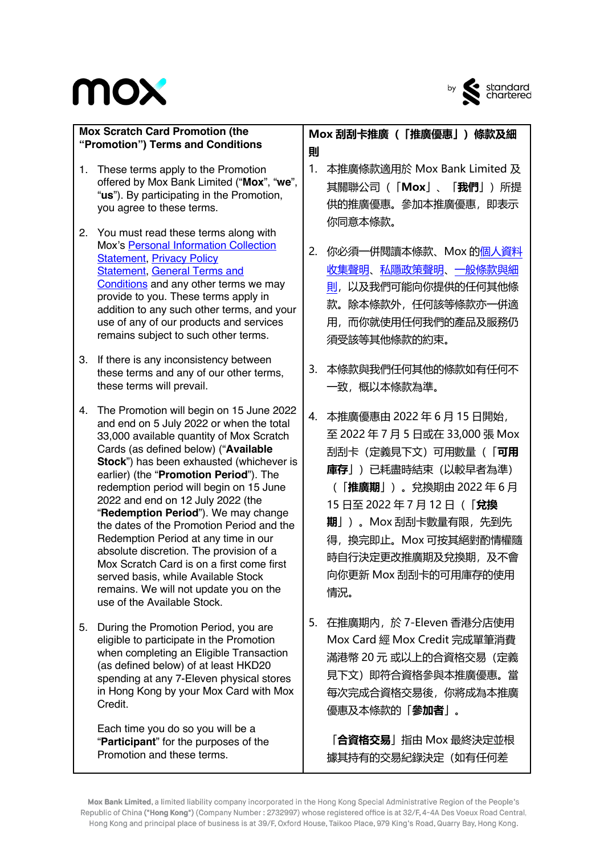## mox



| <b>Mox Scratch Card Promotion (the</b><br>"Promotion") Terms and Conditions |                                                                                                                                                                                                                                                                                                                                                                                                                                                                                                                                                                                                                                                                                    | Mox 刮刮卡推廣 (「推廣優惠」) 條款及細                                                                                                                                                                                                                                                               |  |
|-----------------------------------------------------------------------------|------------------------------------------------------------------------------------------------------------------------------------------------------------------------------------------------------------------------------------------------------------------------------------------------------------------------------------------------------------------------------------------------------------------------------------------------------------------------------------------------------------------------------------------------------------------------------------------------------------------------------------------------------------------------------------|---------------------------------------------------------------------------------------------------------------------------------------------------------------------------------------------------------------------------------------------------------------------------------------|--|
| 1.<br>2.                                                                    | These terms apply to the Promotion<br>offered by Mox Bank Limited ("Mox", "we",<br>"us"). By participating in the Promotion,<br>you agree to these terms.<br>You must read these terms along with                                                                                                                                                                                                                                                                                                                                                                                                                                                                                  | 則<br>1.<br>本推廣條款適用於 Mox Bank Limited 及<br>其關聯公司(「 <b>Mox</b> 」、「 <b>我們</b> 」)所提<br>供的推廣優惠。參加本推廣優惠,即表示<br>你同意本條款。                                                                                                                                                                      |  |
|                                                                             | Mox's Personal Information Collection<br><b>Statement, Privacy Policy</b><br><b>Statement, General Terms and</b><br>Conditions and any other terms we may<br>provide to you. These terms apply in<br>addition to any such other terms, and your<br>use of any of our products and services<br>remains subject to such other terms.                                                                                                                                                                                                                                                                                                                                                 | 2.<br>你必須一併閱讀本條款、Mox 的個人資料<br>收集聲明、私隱政策聲明、一般條款與細<br>則,以及我們可能向你提供的任何其他條<br>款。<br>除本條款外,任何該等條款亦一併適<br>用,而你就使用任何我們的產品及服務仍<br>須受該等其他條款的約束。                                                                                                                                                |  |
| 3.                                                                          | If there is any inconsistency between<br>these terms and any of our other terms,<br>these terms will prevail.                                                                                                                                                                                                                                                                                                                                                                                                                                                                                                                                                                      | 本條款與我們任何其他的條款如有任何不<br>3.<br>一致,概以本條款為準。                                                                                                                                                                                                                                               |  |
| 4.                                                                          | The Promotion will begin on 15 June 2022<br>and end on 5 July 2022 or when the total<br>33,000 available quantity of Mox Scratch<br>Cards (as defined below) ("Available<br>Stock") has been exhausted (whichever is<br>earlier) (the "Promotion Period"). The<br>redemption period will begin on 15 June<br>2022 and end on 12 July 2022 (the<br>"Redemption Period"). We may change<br>the dates of the Promotion Period and the<br>Redemption Period at any time in our<br>absolute discretion. The provision of a<br>Mox Scratch Card is on a first come first<br>served basis, while Available Stock<br>remains. We will not update you on the<br>use of the Available Stock. | 本推廣優惠由 2022年6月15日開始,<br>4.<br>至 2022 年 7 月 5 日或在 33,000 張 Mox<br>刮刮卡(定義見下文)可用數量(「 <b>可用</b><br>庫存」)已耗盡時結束 (以較早者為準)<br>(「 <b>推廣期</b> 」) 。兌換期由 2022 年 6 月<br>15日至 2022年7月12日 (「兌換<br>期」)。Mox 刮刮卡數量有限, 先到先<br>得, 換完即止。Mox 可按其絕對酌情權隨<br>時自行決定更改推廣期及兌換期,及不會<br>向你更新 Mox 刮刮卡的可用庫存的使用<br>情況。 |  |
| 5.                                                                          | During the Promotion Period, you are<br>eligible to participate in the Promotion<br>when completing an Eligible Transaction<br>(as defined below) of at least HKD20<br>spending at any 7-Eleven physical stores<br>in Hong Kong by your Mox Card with Mox<br>Credit.                                                                                                                                                                                                                                                                                                                                                                                                               | 5.<br>在推廣期内,於 7-Eleven 香港分店使用<br>Mox Card 經 Mox Credit 完成單筆消費<br>滿港幣 20 元 或以上的合資格交易 (定義<br>見下文) 即符合資格參與本推廣優惠。當<br>每次完成合資格交易後,你將成為本推廣<br>優惠及本條款的「 <b>參加者</b> 」。                                                                                                                        |  |

「**合資格交易**」指由 Mox 最終決定並根 據其持有的交易紀錄決定(如有任何差

Mox Bank Limited, a limited liability company incorporated in the Hong Kong Special Administrative Region of the People's Republic of China ("Hong Kong") (Company Number: 2732997) whose registered office is at 32/F, 4-4A Des Voeux Road Central, Hong Kong and principal place of business is at 39/F, Oxford House, Taikoo Place, 979 King's Road, Quarry Bay, Hong Kong.

Each time you do so you will be a "**Participant**" for the purposes of the

Promotion and these terms.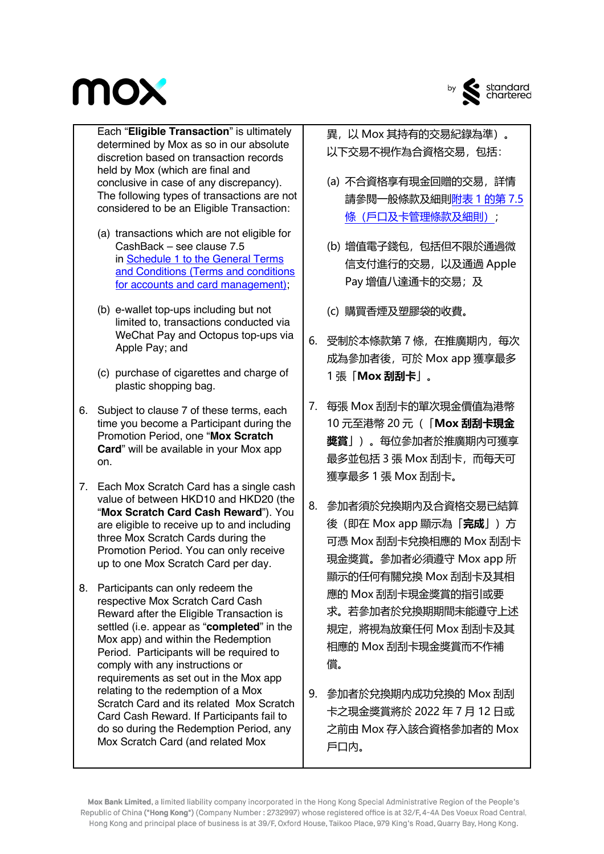## **MOX**



by standard<br>chartered

Each "**Eligible Transaction**" is ultimately determined by Mox as so in our absolute discretion based on transaction records held by Mox (which are final and conclusive in case of any discrepancy). The following types of transactions are not considered to be an Eligible Transaction:

- (a) transactions which are not eligible for CashBack – see clause 7.5 in Schedule 1 to the General Terms and Conditions (Terms and conditions for accounts and card management);
- (b) e-wallet top-ups including but not limited to, transactions conducted via WeChat Pay and Octopus top-ups via Apple Pay; and
- (c) purchase of cigarettes and charge of plastic shopping bag.
- 6. Subject to clause 7 of these terms, each time you become a Participant during the Promotion Period, one "**Mox Scratch Card**" will be available in your Mox app on.
- 7. Each Mox Scratch Card has a single cash value of between HKD10 and HKD20 (the "**Mox Scratch Card Cash Reward**"). You are eligible to receive up to and including three Mox Scratch Cards during the Promotion Period. You can only receive up to one Mox Scratch Card per day.
- 8. Participants can only redeem the respective Mox Scratch Card Cash Reward after the Eligible Transaction is settled (i.e. appear as "**completed**" in the Mox app) and within the Redemption Period. Participants will be required to comply with any instructions or requirements as set out in the Mox app relating to the redemption of a Mox Scratch Card and its related Mox Scratch Card Cash Reward. If Participants fail to do so during the Redemption Period, any Mox Scratch Card (and related Mox
- 異,以 Mox 其持有的交易紀錄為準)。 以下交易不視作為合資格交易,包括:
- (a) 不合資格享有現金回贈的交易,詳情 請參閱一般條款及細則附表 1 的第 7.5 條(戶口及卡管理條款及細則);
- (b) 增值電子錢包,包括但不限於通過微 信支付進行的交易,以及通過 Apple Pay 增值八達通卡的交易;及
- (c) 購買香煙及塑膠袋的收費。
- 6. 受制於本條款第 7 條, 在推廣期内, 每次 成為參加者後,可於 Mox app 獲享最多 1 張「**Mox 刮刮卡**」。
- 7. 每張 Mox 刮刮卡的單次現金價值為港幣 10 元至港幣 20 元(「**Mox 刮刮卡現金 獎賞**」)。每位參加者於推廣期內可獲享 最多並包括 3 張 Mox 刮刮卡,而每天可 獲享最多 1 張 Mox 刮刮卡。
- 8. 參加者須於兌換期內及合資格交易已結算 後(即在 Mox app 顯示為「**完成**」)方 可憑 Mox 刮刮卡兌換相應的 Mox 刮刮卡 現金獎賞。參加者必須遵守 Mox app 所 顯示的任何有關兌換 Mox 刮刮卡及其相 應的 Mox 刮刮卡現金獎賞的指引或要 求。若參加者於兌換期期間未能遵守上述 規定,將視為放棄任何 Mox 刮刮卡及其 相應的 Mox 刮刮卡現金獎賞而不作補 償。
- 9. 參加者於兌換期內成功兌換的 Mox 刮刮 卡之現金獎賞將於 2022 年 7 月 12 日或 之前由 Mox 存入該合資格參加者的 Mox 戶口內。

Mox Bank Limited, a limited liability company incorporated in the Hong Kong Special Administrative Region of the People's Republic of China ("Hong Kong") (Company Number: 2732997) whose registered office is at 32/F, 4-4A Des Voeux Road Central, Hong Kong and principal place of business is at 39/F, Oxford House, Taikoo Place, 979 King's Road, Quarry Bay, Hong Kong.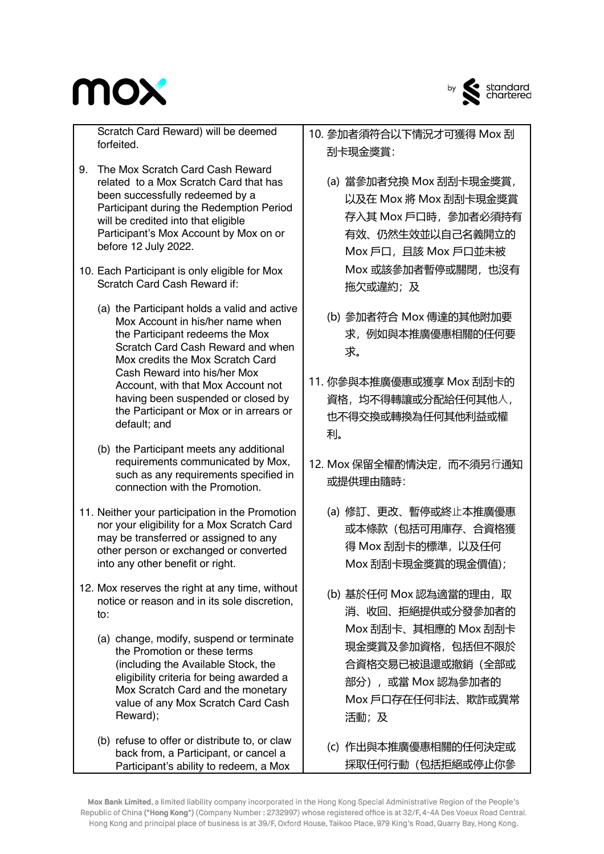



by standard<br>chartered

Scratch Card Reward) will be deemed forfeited.

- 9. The Mox Scratch Card Cash Reward related to a Mox Scratch Card that has been successfully redeemed by a Participant during the Redemption Period will be credited into that eligible Participant's Mox Account by Mox on or before 12 July 2022.
- 10. Each Participant is only eligible for Mox Scratch Card Cash Reward if:
	- (a) the Participant holds a valid and active Mox Account in his/her name when the Participant redeems the Mox Scratch Card Cash Reward and when Mox credits the Mox Scratch Card Cash Reward into his/her Mox Account, with that Mox Account not having been suspended or closed by the Participant or Mox or in arrears or default; and
	- (b) the Participant meets any additional requirements communicated by Mox, such as any requirements specified in connection with the Promotion.
- 11. Neither your participation in the Promotion nor your eligibility for a Mox Scratch Card may be transferred or assigned to any other person or exchanged or converted into any other benefit or right.
- 12. Mox reserves the right at any time, without notice or reason and in its sole discretion,  $t \cap$ 
	- (a) change, modify, suspend or terminate the Promotion or these terms (including the Available Stock, the eligibility criteria for being awarded a Mox Scratch Card and the monetary value of any Mox Scratch Card Cash Reward);
	- (b) refuse to offer or distribute to, or claw back from, a Participant, or cancel a Participant's ability to redeem, a Mox
- 10. 參加者須符合以下情況才可獲得 Mox 刮 刮卡現金獎賞:
	- (a) 當參加者兌換 Mox 刮刮卡現金獎賞, 以及在 Mox 將 Mox 刮刮卡現金獎賞 存入其 Mox 戶口時,參加者必須持有 有效、仍然生效並以自己名義開立的 Mox 戶口, 且該 Mox 戶口並未被 Mox 或該參加者暫停或關閉,也沒有 拖欠或違約;及
	- (b) 參加者符合 Mox 傳達的其他附加要 求,例如與本推廣優惠相關的任何要 求。
- 11. 你參與本推廣優惠或獲享 Mox 刮刮卡的 資格,均不得轉讓或分配給任何其他人, 也不得交換或轉換為任何其他利益或權 利。
- 12. Mox 保留全權酌情決定, 而不須另行通知 或提供理由隨時:
	- (a) 修訂、更改、暫停或終⽌本推廣優惠 或本條款(包括可用庫存、合資格獲 得 Mox 刮刮卡的標準, 以及任何 Mox 刮刮卡現金獎賞的現金價值);
	- (b) 基於任何 Mox 認為適當的理由, 取 消、收回、拒絕提供或分發參加者的 Mox 刮刮卡、其相應的 Mox 刮刮卡 現金獎賞及參加資格,包括但不限於 合資格交易已被退還或撤銷(全部或 部分),或當 Mox 認為參加者的 Mox 戶口存在任何非法、欺詐或異常 活動;及
	- (c) 作出與本推廣優惠相關的任何決定或 採取任何行動(包括拒絕或停止你參

Mox Bank Limited, a limited liability company incorporated in the Hong Kong Special Administrative Region of the People's Republic of China ("Hong Kong") (Company Number: 2732997) whose registered office is at 32/F, 4-4A Des Voeux Road Central, Hong Kong and principal place of business is at 39/F, Oxford House, Taikoo Place, 979 King's Road, Quarry Bay, Hong Kong.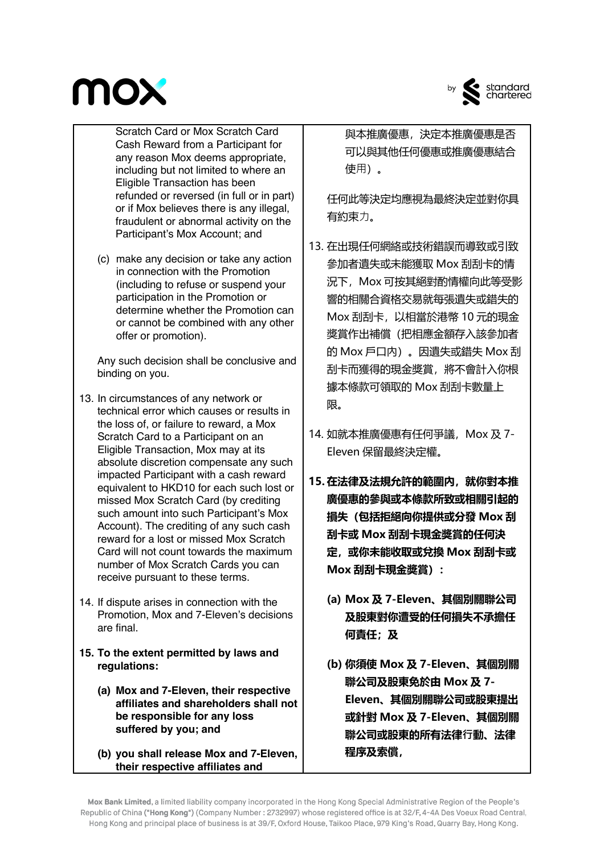## **MOX**



by standard<br>chartered

Scratch Card or Mox Scratch Card Cash Reward from a Participant for any reason Mox deems appropriate, including but not limited to where an Eligible Transaction has been refunded or reversed (in full or in part) or if Mox believes there is any illegal, fraudulent or abnormal activity on the Participant's Mox Account; and

(c) make any decision or take any action in connection with the Promotion (including to refuse or suspend your participation in the Promotion or determine whether the Promotion can or cannot be combined with any other offer or promotion).

Any such decision shall be conclusive and binding on you.

- 13. In circumstances of any network or technical error which causes or results in the loss of, or failure to reward, a Mox Scratch Card to a Participant on an Eligible Transaction, Mox may at its absolute discretion compensate any such impacted Participant with a cash reward equivalent to HKD10 for each such lost or missed Mox Scratch Card (by crediting such amount into such Participant's Mox Account). The crediting of any such cash reward for a lost or missed Mox Scratch Card will not count towards the maximum number of Mox Scratch Cards you can receive pursuant to these terms.
- 14. If dispute arises in connection with the Promotion, Mox and 7-Eleven's decisions are final.
- **15. To the extent permitted by laws and regulations:**
	- **(a) Mox and 7-Eleven, their respective affiliates and shareholders shall not be responsible for any loss suffered by you; and**
	- **(b) you shall release Mox and 7-Eleven, their respective affiliates and**

與本推廣優惠,決定本推廣優惠是否 可以與其他任何優惠或推廣優惠結合 使⽤)。

任何此等決定均應視為最終決定並對你具 有約束力。

- 13. 在出現任何網絡或技術錯誤而導致或引致 參加者遺失或未能獲取 Mox 刮刮卡的情 況下,Mox 可按其絕對酌情權向此等受影 響的相關合資格交易就每張遺失或錯失的 Mox 刮刮卡,以相當於港幣 10 元的現金 獎賞作出補償(把相應金額存入該參加者 的 Mox 戶口內)。因遺失或錯失 Mox 刮 刮卡而獲得的現金獎賞,將不會計入你根 據本條款可領取的 Mox 刮刮卡數量上 限。
- 14. 如就本推廣優惠有任何爭議, Mox 及 7-Eleven 保留最終決定權。
- **15. 在法律及法規允許的範圍內,就你對本推 廣優惠的參與或本條款所致或相關引起的 損失(包括拒絕向你提供或分發 Mox 刮 刮卡或 Mox 刮刮卡現金獎賞的任何決 定,或你未能收取或兌換 Mox 刮刮卡或 Mox 刮刮卡現金獎賞):**
	- **(a) Mox 及 7-Eleven、其個別關聯公司 及股東對你遭受的任何損失不承擔任 何責任;及**
	- **(b) 你須使 Mox 及 7-Eleven、其個別關 聯公司及股東免於由 Mox 及 7- Eleven、其個別關聯公司或股東提出 或針對 Mox 及 7-Eleven、其個別關 聯公司或股東的所有法律⾏動、法律 程序及索償,**

Mox Bank Limited, a limited liability company incorporated in the Hong Kong Special Administrative Region of the People's Republic of China ("Hong Kong") (Company Number: 2732997) whose registered office is at 32/F, 4-4A Des Voeux Road Central, Hong Kong and principal place of business is at 39/F, Oxford House, Taikoo Place, 979 King's Road, Quarry Bay, Hong Kong.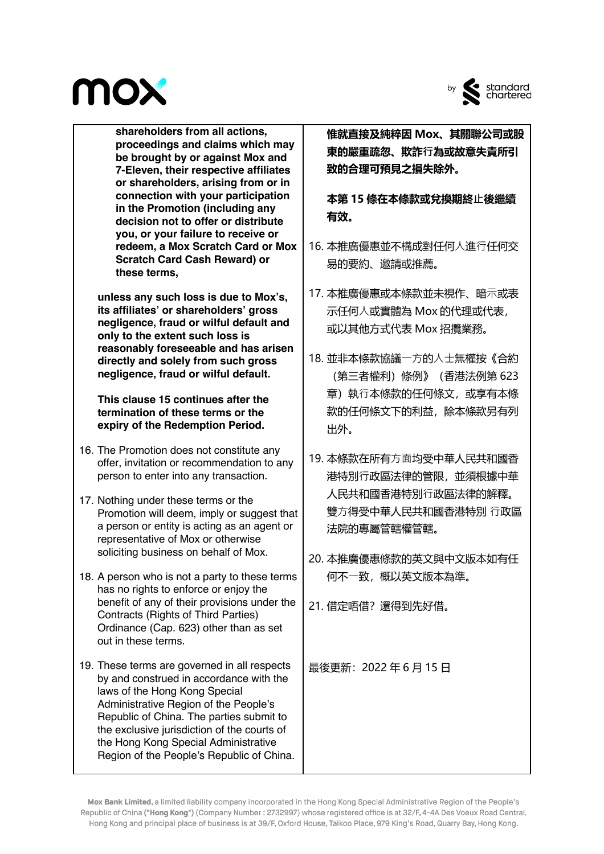## **MOX**



by standard<br>chartered

**shareholders from all actions, proceedings and claims which may be brought by or against Mox and 7-Eleven, their respective affiliates or shareholders, arising from or in connection with your participation in the Promotion (including any decision not to offer or distribute you, or your failure to receive or redeem, a Mox Scratch Card or Mox Scratch Card Cash Reward) or these terms,** 

**unless any such loss is due to Mox's, its affiliates' or shareholders' gross negligence, fraud or wilful default and only to the extent such loss is reasonably foreseeable and has arisen directly and solely from such gross negligence, fraud or wilful default.** 

**This clause 15 continues after the termination of these terms or the expiry of the Redemption Period.**

- 16. The Promotion does not constitute any offer, invitation or recommendation to any person to enter into any transaction.
- 17. Nothing under these terms or the Promotion will deem, imply or suggest that a person or entity is acting as an agent or representative of Mox or otherwise soliciting business on behalf of Mox.
- 18. A person who is not a party to these terms has no rights to enforce or enjoy the benefit of any of their provisions under the Contracts (Rights of Third Parties) Ordinance (Cap. 623) other than as set out in these terms.
- 19. These terms are governed in all respects by and construed in accordance with the laws of the Hong Kong Special Administrative Region of the People's Republic of China. The parties submit to the exclusive jurisdiction of the courts of the Hong Kong Special Administrative Region of the People's Republic of China.

**惟就直接及純粹因 Mox、其關聯公司或股 東的嚴重疏忽、欺詐⾏為或故意失責所引 致的合理可預見之損失除外。**

**本第 15 條在本條款或兌換期終⽌後繼續 有效。**

- 16. 本推廣優惠並不構成對任何人進行任何交 易的要約、邀請或推薦。
- 17. 本推廣優惠或本條款並未視作、暗示或表 示任何人或實體為 Mox 的代理或代表, 或以其他方式代表 Mox 招攬業務。
- 18. 並非本條款協議一方的人士無權按《合約 (第三者權利)條例》(香港法例第 623 章)執行本條款的任何條文,或享有本條 款的任何條文下的利益,除本條款另有列 出外。
- 19. 本條款在所有方面均受中華人民共和國香 港特別⾏政區法律的管限,並須根據中華 人民共和國香港特別行政區法律的解釋。 雙方得受中華人民共和國香港特別 行政區 法院的專屬管轄權管轄。
- 20. 本推廣優惠條款的英文與中文版本如有任 何不⼀致,概以英文版本為準。

21. 借定唔借? 還得到先好借。

最後更新:2022 年 6 月 15 日

Mox Bank Limited, a limited liability company incorporated in the Hong Kong Special Administrative Region of the People's Republic of China ("Hong Kong") (Company Number: 2732997) whose registered office is at 32/F, 4-4A Des Voeux Road Central, Hong Kong and principal place of business is at 39/F, Oxford House, Taikoo Place, 979 King's Road, Quarry Bay, Hong Kong.